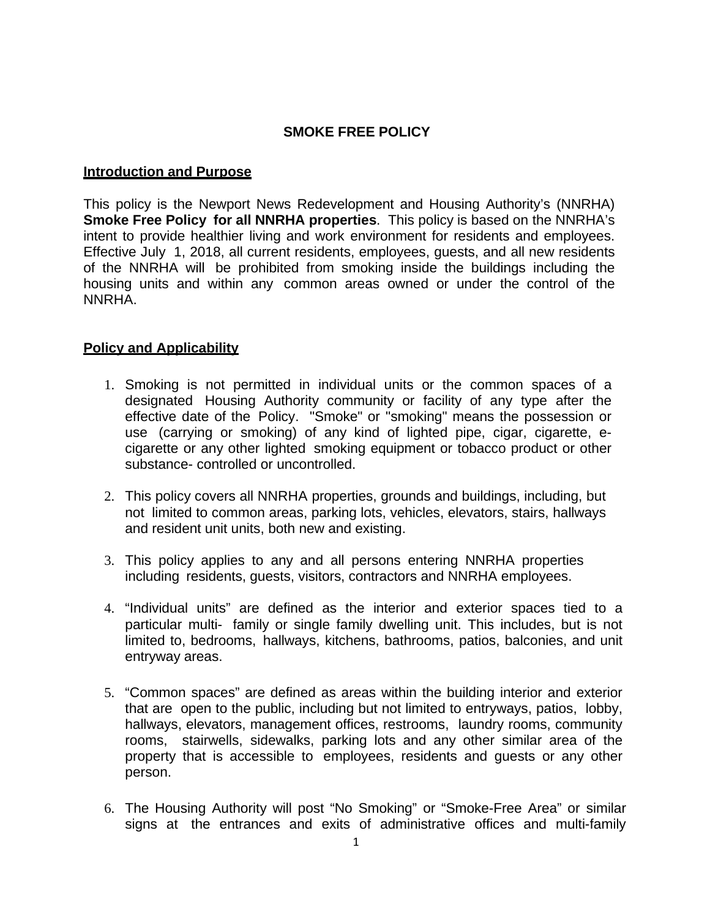### **SMOKE FREE POLICY**

#### **Introduction and Purpose**

This policy is the Newport News Redevelopment and Housing Authority's (NNRHA) **Smoke Free Policy for all NNRHA properties**. This policy is based on the NNRHA's intent to provide healthier living and work environment for residents and employees. Effective July 1, 2018, all current residents, employees, guests, and all new residents of the NNRHA will be prohibited from smoking inside the buildings including the housing units and within any common areas owned or under the control of the NNRHA.

#### **Policy and Applicability**

- 1. Smoking is not permitted in individual units or the common spaces of a designated Housing Authority community or facility of any type after the effective date of the Policy. "Smoke" or "smoking" means the possession or use (carrying or smoking) of any kind of lighted pipe, cigar, cigarette, ecigarette or any other lighted smoking equipment or tobacco product or other substance- controlled or uncontrolled.
- 2. This policy covers all NNRHA properties, grounds and buildings, including, but not limited to common areas, parking lots, vehicles, elevators, stairs, hallways and resident unit units, both new and existing.
- 3. This policy applies to any and all persons entering NNRHA properties including residents, guests, visitors, contractors and NNRHA employees.
- 4. "Individual units" are defined as the interior and exterior spaces tied to a particular multi- family or single family dwelling unit. This includes, but is not limited to, bedrooms, hallways, kitchens, bathrooms, patios, balconies, and unit entryway areas.
- 5. "Common spaces" are defined as areas within the building interior and exterior that are open to the public, including but not limited to entryways, patios, lobby, hallways, elevators, management offices, restrooms, laundry rooms, community rooms, stairwells, sidewalks, parking lots and any other similar area of the property that is accessible to employees, residents and guests or any other person.
- 6. The Housing Authority will post "No Smoking" or "Smoke-Free Area" or similar signs at the entrances and exits of administrative offices and multi-family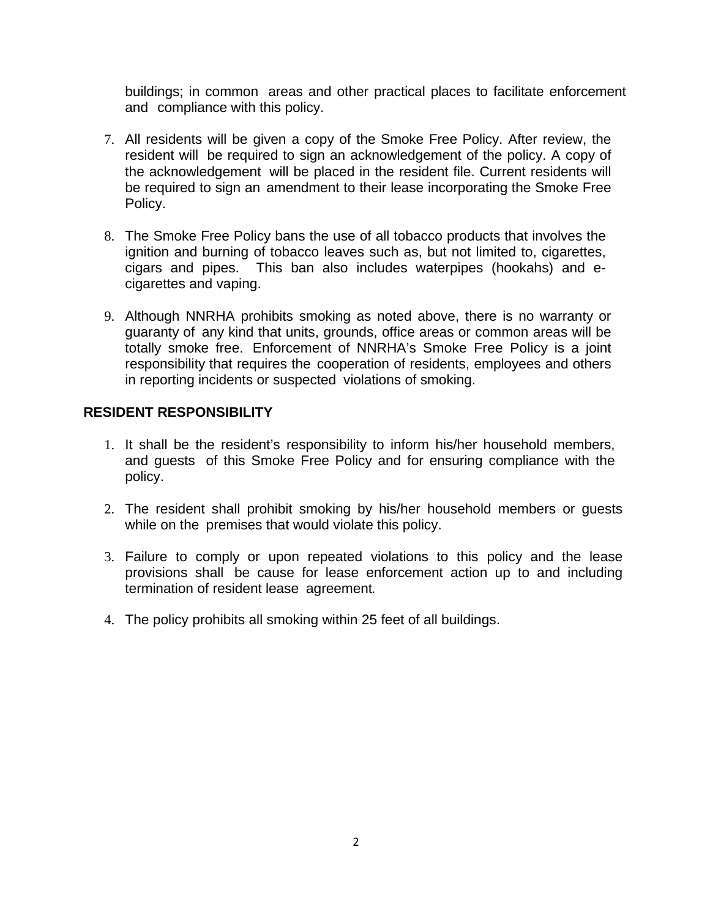buildings; in common areas and other practical places to facilitate enforcement and compliance with this policy.

- 7. All residents will be given a copy of the Smoke Free Policy. After review, the resident will be required to sign an acknowledgement of the policy. A copy of the acknowledgement will be placed in the resident file. Current residents will be required to sign an amendment to their lease incorporating the Smoke Free Policy.
- 8. The Smoke Free Policy bans the use of all tobacco products that involves the ignition and burning of tobacco leaves such as, but not limited to, cigarettes, cigars and pipes. This ban also includes waterpipes (hookahs) and ecigarettes and vaping.
- 9. Although NNRHA prohibits smoking as noted above, there is no warranty or guaranty of any kind that units, grounds, office areas or common areas will be totally smoke free. Enforcement of NNRHA's Smoke Free Policy is a joint responsibility that requires the cooperation of residents, employees and others in reporting incidents or suspected violations of smoking.

#### **RESIDENT RESPONSIBILITY**

- 1. It shall be the resident's responsibility to inform his/her household members, and guests of this Smoke Free Policy and for ensuring compliance with the policy.
- 2. The resident shall prohibit smoking by his/her household members or guests while on the premises that would violate this policy.
- 3. Failure to comply or upon repeated violations to this policy and the lease provisions shall be cause for lease enforcement action up to and including termination of resident lease agreement*.*
- 4. The policy prohibits all smoking within 25 feet of all buildings.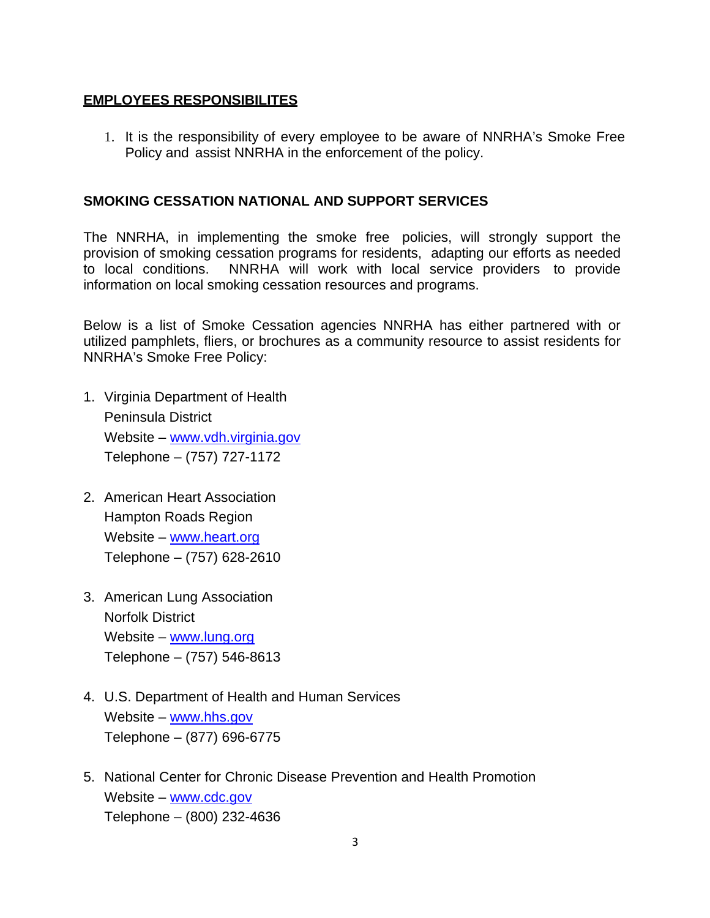# **EMPLOYEES RESPONSIBILITES**

1. It is the responsibility of every employee to be aware of NNRHA's Smoke Free Policy and assist NNRHA in the enforcement of the policy.

## **SMOKING CESSATION NATIONAL AND SUPPORT SERVICES**

The NNRHA, in implementing the smoke free policies, will strongly support the provision of smoking cessation programs for residents, adapting our efforts as needed to local conditions. NNRHA will work with local service providers to provide information on local smoking cessation resources and programs.

Below is a list of Smoke Cessation agencies NNRHA has either partnered with or utilized pamphlets, fliers, or brochures as a community resource to assist residents for NNRHA's Smoke Free Policy:

- 1. Virginia Department of Health Peninsula District Website – www.vdh.virginia.gov Telephone – (757) 727-1172
- 2. American Heart Association Hampton Roads Region Website – www.heart.org Telephone – (757) 628-2610
- 3. American Lung Association Norfolk District Website – www.lung.org Telephone – (757) 546-8613
- 4. U.S. Department of Health and Human Services Website – www.hhs.gov Telephone – (877) 696-6775
- 5. National Center for Chronic Disease Prevention and Health Promotion Website – www.cdc.gov Telephone – (800) 232-4636